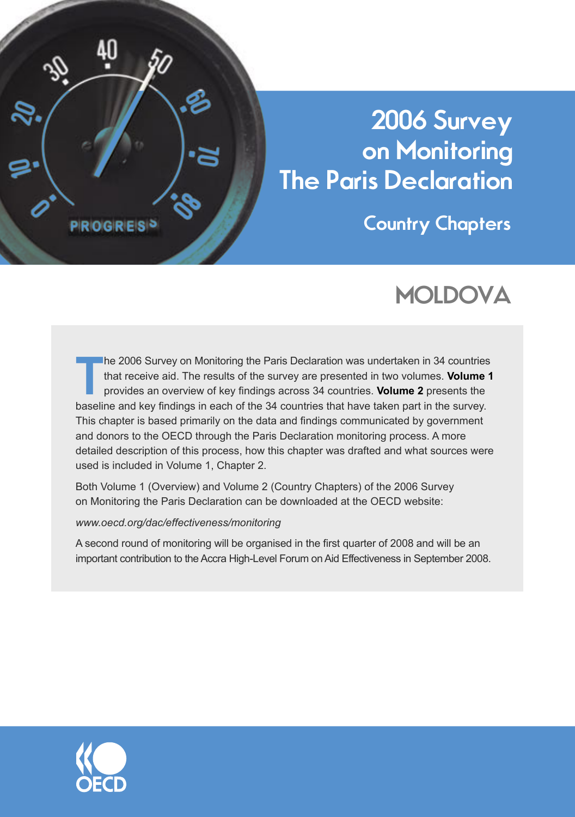

# **2006 Survey on Monitoring The Paris Declaration**

**Country Chapters**

# **MOLDOVA**

**TREATION SURVEY ON Monitoring the Paris Declaration was undertaken in 34 countries that receive aid. The results of the survey are presented in two volumes. <b>Volume 1** provides an overview of key findings across 34 countr that receive aid. The results of the survey are presented in two volumes. **Volume 1** baseline and key findings in each of the 34 countries that have taken part in the survey. This chapter is based primarily on the data and findings communicated by government and donors to the OECD through the Paris Declaration monitoring process. A more detailed description of this process, how this chapter was drafted and what sources were used is included in Volume 1, Chapter 2.

Both Volume 1 (Overview) and Volume 2 (Country Chapters) of the 2006 Survey on Monitoring the Paris Declaration can be downloaded at the OECD website:

# *www.oecd.org/dac/effectiveness/monitoring*

A second round of monitoring will be organised in the first quarter of 2008 and will be an important contribution to the Accra High-Level Forum on Aid Effectiveness in September 2008.

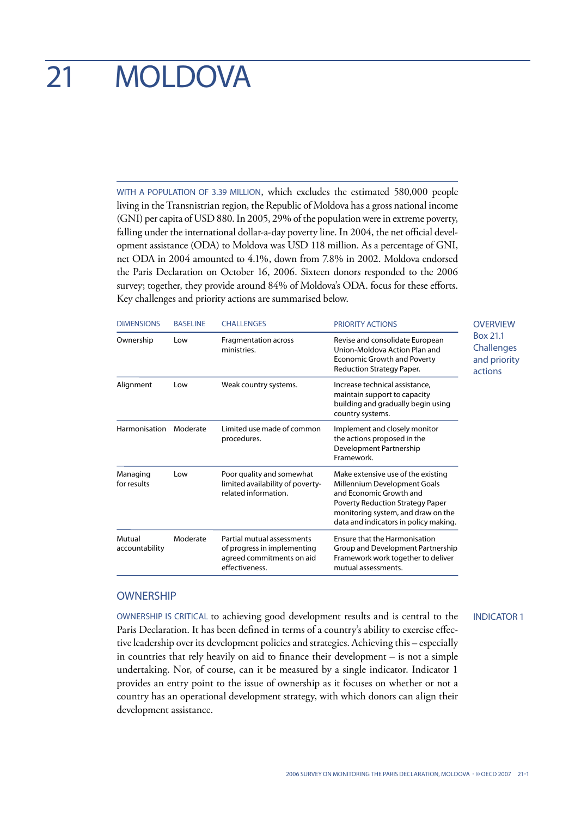# 21 MOLDOVA

WITH A POPULATION OF 3.39 MILLION, which excludes the estimated 580,000 people living in the Transnistrian region, the Republic of Moldova has a gross national income (GNI) per capita of USD 880. In 2005, 29% of the population were in extreme poverty, falling under the international dollar-a-day poverty line. In 2004, the net official development assistance (ODA) to Moldova was USD 118 million. As a percentage of GNI, net ODA in 2004 amounted to 4.1%, down from 7.8% in 2002. Moldova endorsed the Paris Declaration on October 16, 2006. Sixteen donors responded to the 2006 survey; together, they provide around 84% of Moldova's ODA. focus for these efforts. Key challenges and priority actions are summarised below.

| <b>DIMENSIONS</b>              | <b>BASELINE</b>                                                                                                                                                | <b>CHALLENGES</b>                                                                                                                                 | <b>PRIORITY ACTIONS</b>                                                                                                                                                                                          | <b>OVERVIEW</b>                                   |
|--------------------------------|----------------------------------------------------------------------------------------------------------------------------------------------------------------|---------------------------------------------------------------------------------------------------------------------------------------------------|------------------------------------------------------------------------------------------------------------------------------------------------------------------------------------------------------------------|---------------------------------------------------|
| Ownership                      | Fragmentation across<br>Low<br>ministries.                                                                                                                     |                                                                                                                                                   | Revise and consolidate European<br>Union-Moldova Action Plan and<br><b>Economic Growth and Poverty</b><br>Reduction Strategy Paper.                                                                              | Box 21.1<br>Challenges<br>and priority<br>actions |
| Alignment<br>Low               |                                                                                                                                                                | Weak country systems.<br>Increase technical assistance,<br>maintain support to capacity<br>building and gradually begin using<br>country systems. |                                                                                                                                                                                                                  |                                                   |
| Harmonisation                  | Limited use made of common<br>Moderate<br>Implement and closely monitor<br>the actions proposed in the<br>procedures.<br>Development Partnership<br>Framework. |                                                                                                                                                   |                                                                                                                                                                                                                  |                                                   |
| Managing<br>Low<br>for results |                                                                                                                                                                | Poor quality and somewhat<br>limited availability of poverty-<br>related information.                                                             | Make extensive use of the existing<br>Millennium Development Goals<br>and Economic Growth and<br>Poverty Reduction Strategy Paper<br>monitoring system, and draw on the<br>data and indicators in policy making. |                                                   |
| Mutual<br>accountability       | Moderate                                                                                                                                                       | Partial mutual assessments<br>of progress in implementing<br>agreed commitments on aid<br>effectiveness.                                          | Ensure that the Harmonisation<br>Group and Development Partnership<br>Framework work together to deliver<br>mutual assessments.                                                                                  |                                                   |

#### **OWNERSHIP**

OWNERSHIP IS CRITICAL to achieving good development results and is central to the Paris Declaration. It has been defined in terms of a country's ability to exercise effective leadership over its development policies and strategies. Achieving this – especially in countries that rely heavily on aid to finance their development – is not a simple undertaking. Nor, of course, can it be measured by a single indicator. Indicator 1 provides an entry point to the issue of ownership as it focuses on whether or not a country has an operational development strategy, with which donors can align their development assistance.

INDICATOR 1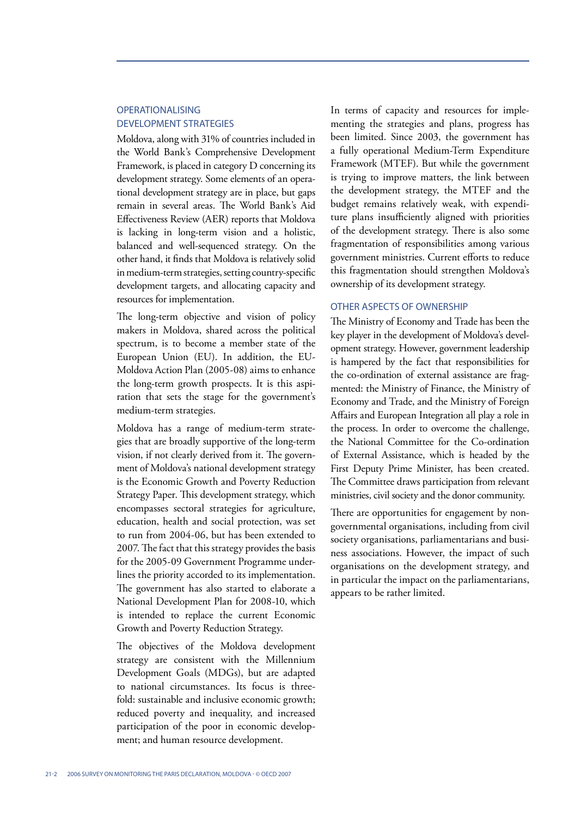# OPERATIONALISING DEVELOPMENT STRATEGIES

Moldova, along with 31% of countries included in the World Bank's Comprehensive Development Framework, is placed in category D concerning its development strategy. Some elements of an operational development strategy are in place, but gaps remain in several areas. The World Bank's Aid Effectiveness Review (AER) reports that Moldova is lacking in long-term vision and a holistic, balanced and well-sequenced strategy. On the other hand, it finds that Moldova is relatively solid in medium-term strategies, setting country-specific development targets, and allocating capacity and resources for implementation.

The long-term objective and vision of policy makers in Moldova, shared across the political spectrum, is to become a member state of the European Union (EU). In addition, the EU-Moldova Action Plan (2005-08) aims to enhance the long-term growth prospects. It is this aspiration that sets the stage for the government's medium-term strategies.

Moldova has a range of medium-term strategies that are broadly supportive of the long-term vision, if not clearly derived from it. The government of Moldova's national development strategy is the Economic Growth and Poverty Reduction Strategy Paper. This development strategy, which encompasses sectoral strategies for agriculture, education, health and social protection, was set to run from 2004-06, but has been extended to 2007. The fact that this strategy provides the basis for the 2005-09 Government Programme underlines the priority accorded to its implementation. The government has also started to elaborate a National Development Plan for 2008-10, which is intended to replace the current Economic Growth and Poverty Reduction Strategy.

The objectives of the Moldova development strategy are consistent with the Millennium Development Goals (MDGs), but are adapted to national circumstances. Its focus is threefold: sustainable and inclusive economic growth; reduced poverty and inequality, and increased participation of the poor in economic development; and human resource development.

In terms of capacity and resources for implementing the strategies and plans, progress has been limited. Since 2003, the government has a fully operational Medium-Term Expenditure Framework (MTEF). But while the government is trying to improve matters, the link between the development strategy, the MTEF and the budget remains relatively weak, with expenditure plans insufficiently aligned with priorities of the development strategy. There is also some fragmentation of responsibilities among various government ministries. Current efforts to reduce this fragmentation should strengthen Moldova's ownership of its development strategy.

# OTHER ASPECTS OF OWNERSHIP

The Ministry of Economy and Trade has been the key player in the development of Moldova's development strategy. However, government leadership is hampered by the fact that responsibilities for the co-ordination of external assistance are fragmented: the Ministry of Finance, the Ministry of Economy and Trade, and the Ministry of Foreign Affairs and European Integration all play a role in the process. In order to overcome the challenge, the National Committee for the Co-ordination of External Assistance, which is headed by the First Deputy Prime Minister, has been created. The Committee draws participation from relevant ministries, civil society and the donor community.

There are opportunities for engagement by nongovernmental organisations, including from civil society organisations, parliamentarians and business associations. However, the impact of such organisations on the development strategy, and in particular the impact on the parliamentarians, appears to be rather limited.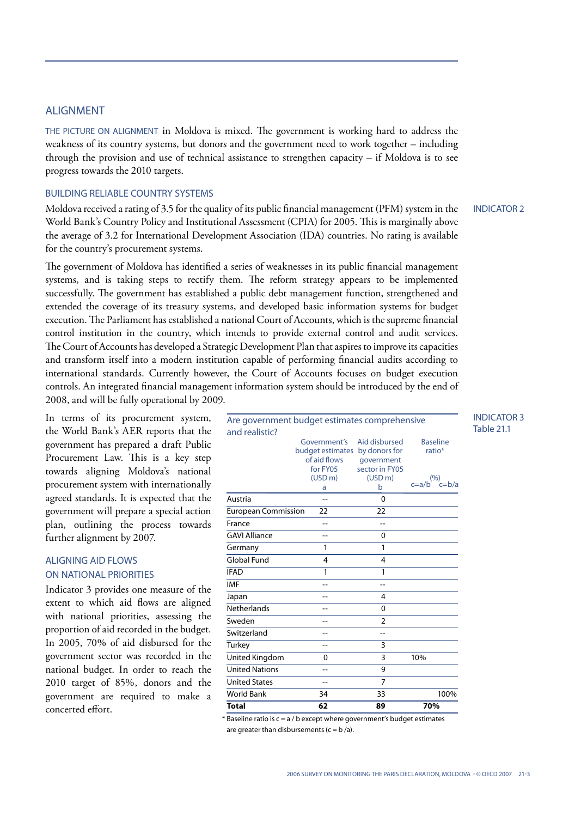# ALIGNMENT

THE PICTURE ON ALIGNMENT in Moldova is mixed. The government is working hard to address the weakness of its country systems, but donors and the government need to work together – including through the provision and use of technical assistance to strengthen capacity – if Moldova is to see progress towards the 2010 targets.

#### BUILDING RELIABLE COUNTRY SYSTEMS

Moldova received a rating of 3.5 for the quality of its public financial management (PFM) system in the World Bank's Country Policy and Institutional Assessment (CPIA) for 2005. This is marginally above the average of 3.2 for International Development Association (IDA) countries. No rating is available for the country's procurement systems.

INDICATOR 2

INDICATOR 3 Table 21.1

The government of Moldova has identified a series of weaknesses in its public financial management systems, and is taking steps to rectify them. The reform strategy appears to be implemented successfully. The government has established a public debt management function, strengthened and extended the coverage of its treasury systems, and developed basic information systems for budget execution. The Parliament has established a national Court of Accounts, which is the supreme financial control institution in the country, which intends to provide external control and audit services. The Court of Accounts has developed a Strategic Development Plan that aspires to improve its capacities and transform itself into a modern institution capable of performing financial audits according to international standards. Currently however, the Court of Accounts focuses on budget execution controls. An integrated financial management information system should be introduced by the end of 2008, and will be fully operational by 2009.

In terms of its procurement system, the World Bank's AER reports that the government has prepared a draft Public Procurement Law. This is a key step towards aligning Moldova's national procurement system with internationally agreed standards. It is expected that the government will prepare a special action plan, outlining the process towards further alignment by 2007.

# ALIGNING AID FLOWS ON NATIONAL PRIORITIES

Indicator 3 provides one measure of the extent to which aid flows are aligned with national priorities, assessing the proportion of aid recorded in the budget. In 2005, 70% of aid disbursed for the government sector was recorded in the national budget. In order to reach the 2010 target of 85%, donors and the government are required to make a concerted effort.

| <b>Total</b>                                  | 62                               | 89                             | 70%                                   |
|-----------------------------------------------|----------------------------------|--------------------------------|---------------------------------------|
| <b>World Bank</b>                             | 34                               | 33                             | 100%                                  |
| <b>United States</b>                          | $-$                              | $\overline{7}$                 |                                       |
| <b>United Nations</b>                         | $-$                              | 9                              |                                       |
| United Kingdom                                | 0                                | 3                              | 10%                                   |
| Turkey                                        | $-$                              | 3                              |                                       |
| Switzerland                                   |                                  | $-$                            |                                       |
| Sweden                                        | $\overline{\phantom{a}}$         | $\overline{2}$                 |                                       |
| <b>Netherlands</b>                            |                                  | 0                              |                                       |
| Japan                                         |                                  | 4                              |                                       |
| <b>IMF</b>                                    | $-1$                             | --                             |                                       |
| <b>IFAD</b>                                   | 1                                | 1                              |                                       |
| <b>Global Fund</b>                            | 4                                | 4                              |                                       |
| Germany                                       | 1                                | 1                              |                                       |
| <b>GAVI Alliance</b>                          | --                               | 0                              |                                       |
| France                                        | $-$                              | $-$                            |                                       |
| <b>European Commission</b>                    | 22                               | 22                             |                                       |
| Austria                                       |                                  | 0                              |                                       |
|                                               | (USD m)<br>a                     | (USD m)<br>b                   | (9)<br>c=b/a<br>c=a/b                 |
|                                               | of aid flows<br>for FY05         | qovernment<br>sector in FY05   |                                       |
|                                               | Government's<br>budget estimates | Aid disbursed<br>by donors for | <b>Baseline</b><br>ratio <sup>*</sup> |
| and realistic?                                |                                  |                                |                                       |
| Are government budget estimates comprehensive |                                  |                                |                                       |

 $*$  Baseline ratio is  $c = a/b$  except where government's budget estimates are greater than disbursements ( $c = b/a$ ).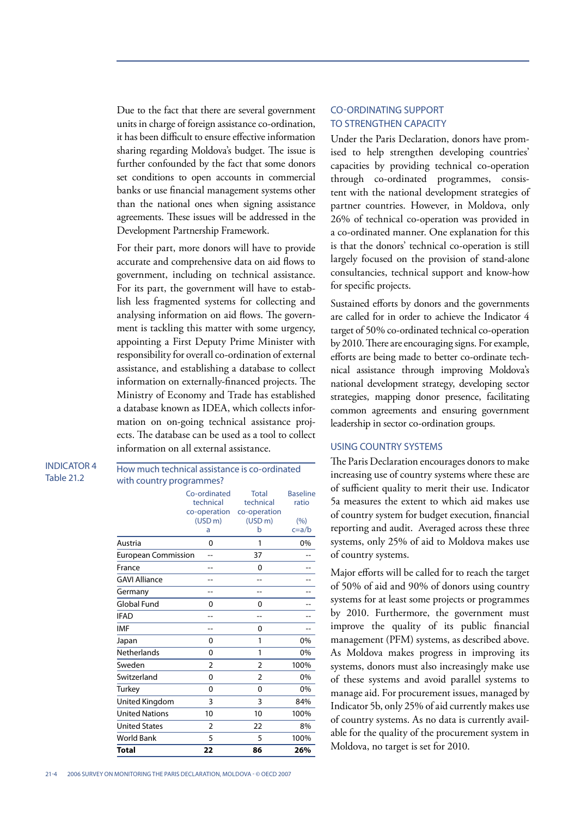Due to the fact that there are several government units in charge of foreign assistance co-ordination, it has been difficult to ensure effective information sharing regarding Moldova's budget. The issue is further confounded by the fact that some donors set conditions to open accounts in commercial banks or use financial management systems other than the national ones when signing assistance agreements. These issues will be addressed in the Development Partnership Framework.

For their part, more donors will have to provide accurate and comprehensive data on aid flows to government, including on technical assistance. For its part, the government will have to establish less fragmented systems for collecting and analysing information on aid flows. The government is tackling this matter with some urgency, appointing a First Deputy Prime Minister with responsibility for overall co-ordination of external assistance, and establishing a database to collect information on externally-financed projects. The Ministry of Economy and Trade has established a database known as IDEA, which collects information on on-going technical assistance projects. The database can be used as a tool to collect information on all external assistance.

How much technical assistance is co-ordinated

INDICATOR 4 Table 21.2

with country programmes? Co-ordinated technical co-operation (USD m) a Total technical co-operation (USD m) b Baseline ratio  $(%)$ c=a/b Austria 0 1 0% European Commission -- 37 France -- 0 -- 0 --GAVI Alliance -- -- -- Germany -- - - - - - - -Global Fund 0 0 --IFAD -- -- --  $IMF$  -- 0 --Japan 0 1 0% Netherlands 0 1 0% Sweden 2 2 100% Switzerland 0 2 0% Turkey 0 0 0% United Kingdom 3 3 84% United Nations 10 10 100% United States 2 22 8% World Bank 5 5 100% **Total 22 86 26%**

# CO-ORDINATING SUPPORT TO STRENGTHEN CAPACITY

Under the Paris Declaration, donors have promised to help strengthen developing countries' capacities by providing technical co-operation through co-ordinated programmes, consistent with the national development strategies of partner countries. However, in Moldova, only 26% of technical co-operation was provided in a co-ordinated manner. One explanation for this is that the donors' technical co-operation is still largely focused on the provision of stand-alone consultancies, technical support and know-how for specific projects.

Sustained efforts by donors and the governments are called for in order to achieve the Indicator 4 target of 50% co-ordinated technical co-operation by 2010. There are encouraging signs. For example, efforts are being made to better co-ordinate technical assistance through improving Moldova's national development strategy, developing sector strategies, mapping donor presence, facilitating common agreements and ensuring government leadership in sector co-ordination groups.

#### USING COUNTRY SYSTEMS

The Paris Declaration encourages donors to make increasing use of country systems where these are of sufficient quality to merit their use. Indicator 5a measures the extent to which aid makes use of country system for budget execution, financial reporting and audit. Averaged across these three systems, only 25% of aid to Moldova makes use of country systems.

Major efforts will be called for to reach the target of 50% of aid and 90% of donors using country systems for at least some projects or programmes by 2010. Furthermore, the government must improve the quality of its public financial management (PFM) systems, as described above. As Moldova makes progress in improving its systems, donors must also increasingly make use of these systems and avoid parallel systems to manage aid. For procurement issues, managed by Indicator 5b, only 25% of aid currently makes use of country systems. As no data is currently available for the quality of the procurement system in Moldova, no target is set for 2010.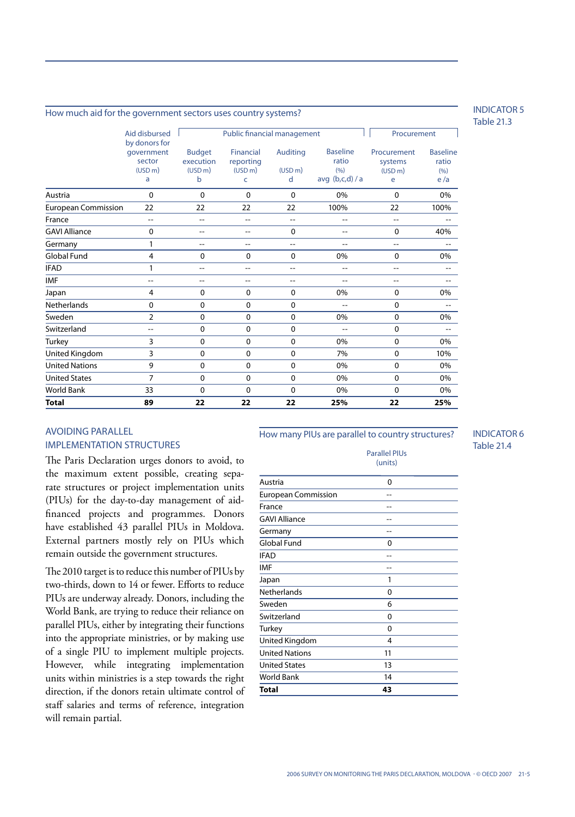#### How much aid for the government sectors uses country systems?

Public financial management Table 1 Procurement Aid disbursed by donors for government sector  $(USD<sub>m</sub>)$ a Budget execution (USD m) b Auditing  $(USD<sub>m</sub>)$ d Austria 0 0 0 0 0% 0 0% European Commission 22 22 22 22 100% 22 100% France -- -- -- -- -- -- -- GAVI Alliance 0 -- -- 0 -- 0 40% Germany 1 -- -- -- -- -- -- Global Fund 4 0 0 0 0% 0 0% IFAD 1 -- - - - - - - - - -IMF -- -- -- -- -- -- -- Japan 4 0 0 0 0% 0 0% Netherlands 0 0 0 0 -- 0 -- Sweden 2 0 0 0 0% 0 0% Switzerland -- 0 0 0 -- 0 -- Turkey 3 0 0 0 0% 0 0% United Kingdom 3 0 0 0 0 7% 0 10% United Nations **9** 0 0 0 0 0% 0 0% 0 0% United States 7 0 0 0 0% 0 0% World Bank 33 0 0 0 0% 0 0% **Total 89 22 22 22 25% 22 25%** Baseline ratio  $(0/6)$ avg (b,c,d) / a **Procurement** systems (USD m) e Financial reporting  $(USD<sub>m</sub>)$ c Baseline ratio  $(9/6)$ e /a

# AVOIDING PARALLEL IMPLEMENTATION STRUCTURES

The Paris Declaration urges donors to avoid, to the maximum extent possible, creating separate structures or project implementation units (PIUs) for the day-to-day management of aidfinanced projects and programmes. Donors have established 43 parallel PIUs in Moldova. External partners mostly rely on PIUs which remain outside the government structures.

The 2010 target is to reduce this number of PIUs by two-thirds, down to 14 or fewer. Efforts to reduce PIUs are underway already. Donors, including the World Bank, are trying to reduce their reliance on parallel PIUs, either by integrating their functions into the appropriate ministries, or by making use of a single PIU to implement multiple projects. However, while integrating implementation units within ministries is a step towards the right direction, if the donors retain ultimate control of staff salaries and terms of reference, integration will remain partial.

#### How many PIUs are parallel to country structures?

Parallel PIUs (units) Austria 0 European Commission -- France -- GAVI Alliance -- Germany Factor and The Contract of the Contract of the Contract of the Contract of the Contract of the Contract of the Contract of the Contract of the Contract of the Contract of the Contract of the Contract of the Contrac Global Fund 0  $IFAD$  -- $IMF$  --Japan 1 Netherlands 0 Sweden 6 Switzerland 0 Turkey **0** United Kingdom 4 United Nations 11 United States 13 World Bank 14 **Total 43**

INDICATOR 5 Table 21.3

INDICATOR 6 Table 21.4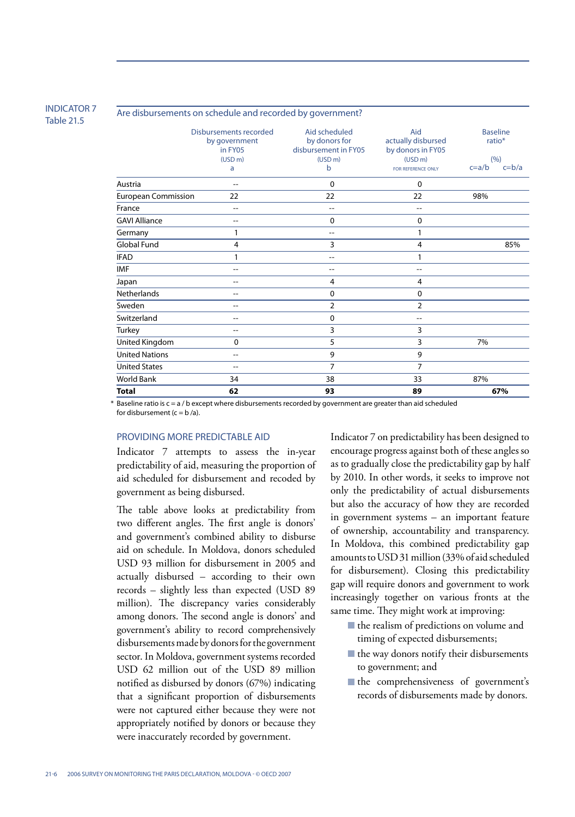#### INDICATOR 7 Table 21.5

#### Are disbursements on schedule and recorded by government?

|                            | Disbursements recorded<br>by government<br>in FY05<br>(USD <sub>m</sub> )<br>a | Aid scheduled<br>by donors for<br>disbursement in FY05<br>(USD <sub>m</sub> )<br>b | Aid<br>actually disbursed<br>by donors in FY05<br>(USD <sub>m</sub> )<br>FOR REFERENCE ONLY | <b>Baseline</b><br>ratio*<br>(9/6)<br>$c = b/a$<br>$c=a/b$ |
|----------------------------|--------------------------------------------------------------------------------|------------------------------------------------------------------------------------|---------------------------------------------------------------------------------------------|------------------------------------------------------------|
| Austria                    | $-$                                                                            | 0                                                                                  | 0                                                                                           |                                                            |
| <b>European Commission</b> | 22                                                                             | 22                                                                                 | 22                                                                                          | 98%                                                        |
| France                     | $-$                                                                            | $-$                                                                                | --                                                                                          |                                                            |
| <b>GAVI Alliance</b>       | $-$                                                                            | 0                                                                                  | 0                                                                                           |                                                            |
| Germany                    | 1                                                                              | $-$                                                                                | 1                                                                                           |                                                            |
| <b>Global Fund</b>         | $\overline{4}$                                                                 | 3                                                                                  | 4                                                                                           | 85%                                                        |
| <b>IFAD</b>                | 1                                                                              | $-$                                                                                | 1                                                                                           |                                                            |
| <b>IMF</b>                 | $-$                                                                            | $-$                                                                                | --                                                                                          |                                                            |
| Japan                      | --                                                                             | 4                                                                                  | 4                                                                                           |                                                            |
| Netherlands                | --                                                                             | 0                                                                                  | 0                                                                                           |                                                            |
| Sweden                     | $-$                                                                            | 2                                                                                  | $\overline{2}$                                                                              |                                                            |
| Switzerland                | --                                                                             | 0                                                                                  | --                                                                                          |                                                            |
| Turkey                     | --                                                                             | 3                                                                                  | 3                                                                                           |                                                            |
| United Kingdom             | 0                                                                              | 5                                                                                  | 3                                                                                           | 7%                                                         |
| <b>United Nations</b>      | $-1$                                                                           | 9                                                                                  | 9                                                                                           |                                                            |
| <b>United States</b>       | --                                                                             | 7                                                                                  | 7                                                                                           |                                                            |
| <b>World Bank</b>          | 34                                                                             | 38                                                                                 | 33                                                                                          | 87%                                                        |
| <b>Total</b>               | 62                                                                             | 93                                                                                 | 89                                                                                          | 67%                                                        |

\* Baseline ratio is c = a / b except where disbursements recorded by government are greater than aid scheduled for disbursement  $(c = b/a)$ .

# PROVIDING MORE PREDICTABLE AID

Indicator 7 attempts to assess the in-year predictability of aid, measuring the proportion of aid scheduled for disbursement and recoded by government as being disbursed.

The table above looks at predictability from two different angles. The first angle is donors' and government's combined ability to disburse aid on schedule. In Moldova, donors scheduled USD 93 million for disbursement in 2005 and actually disbursed – according to their own records – slightly less than expected (USD 89 million). The discrepancy varies considerably among donors. The second angle is donors' and government's ability to record comprehensively disbursements made by donors for the government sector. In Moldova, government systems recorded USD 62 million out of the USD 89 million notified as disbursed by donors (67%) indicating that a significant proportion of disbursements were not captured either because they were not appropriately notified by donors or because they were inaccurately recorded by government.

Indicator 7 on predictability has been designed to encourage progress against both of these angles so as to gradually close the predictability gap by half by 2010. In other words, it seeks to improve not only the predictability of actual disbursements but also the accuracy of how they are recorded in government systems – an important feature of ownership, accountability and transparency. In Moldova, this combined predictability gap amounts to USD 31 million (33% of aid scheduled for disbursement). Closing this predictability gap will require donors and government to work increasingly together on various fronts at the same time. They might work at improving:

- the realism of predictions on volume and timing of expected disbursements;
- the way donors notify their disbursements to government; and
- the comprehensiveness of government's records of disbursements made by donors.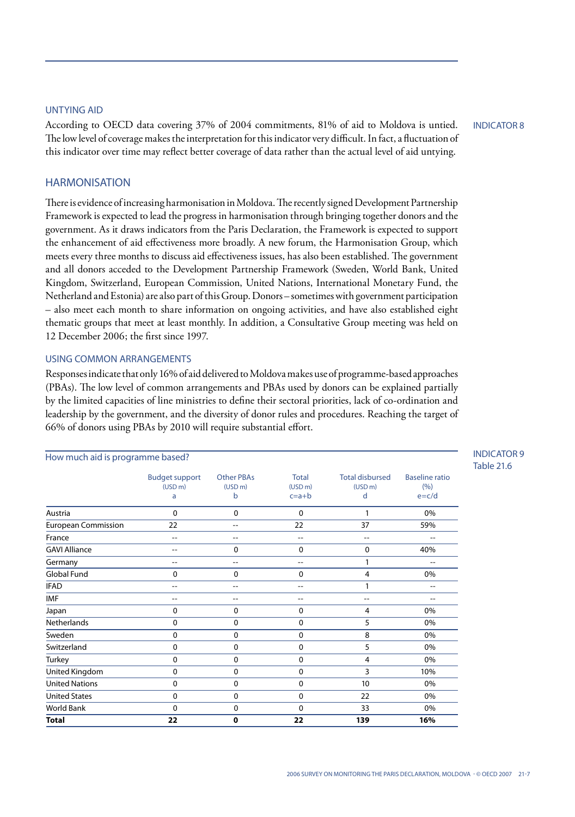# UNTYING AID

According to OECD data covering 37% of 2004 commitments, 81% of aid to Moldova is untied. The low level of coverage makes the interpretation for this indicator very difficult. In fact, a fluctuation of this indicator over time may reflect better coverage of data rather than the actual level of aid untying.

INDICATOR 8

# **HARMONISATION**

There is evidence of increasing harmonisation in Moldova. The recently signed Development Partnership Framework is expected to lead the progress in harmonisation through bringing together donors and the government. As it draws indicators from the Paris Declaration, the Framework is expected to support the enhancement of aid effectiveness more broadly. A new forum, the Harmonisation Group, which meets every three months to discuss aid effectiveness issues, has also been established. The government and all donors acceded to the Development Partnership Framework (Sweden, World Bank, United Kingdom, Switzerland, European Commission, United Nations, International Monetary Fund, the Netherland and Estonia) are also part of this Group. Donors – sometimes with government participation – also meet each month to share information on ongoing activities, and have also established eight thematic groups that meet at least monthly. In addition, a Consultative Group meeting was held on 12 December 2006; the first since 1997.

#### USING COMMON ARRANGEMENTS

Responses indicate that only 16% of aid delivered to Moldova makes use of programme-based approaches (PBAs). The low level of common arrangements and PBAs used by donors can be explained partially by the limited capacities of line ministries to define their sectoral priorities, lack of co-ordination and leadership by the government, and the diversity of donor rules and procedures. Reaching the target of 66% of donors using PBAs by 2010 will require substantial effort.

| How much aid is programme based? |                                                   |                                               |                                                |                                                    |                                             |
|----------------------------------|---------------------------------------------------|-----------------------------------------------|------------------------------------------------|----------------------------------------------------|---------------------------------------------|
|                                  | <b>Budget support</b><br>(USD <sub>m</sub> )<br>a | <b>Other PBAs</b><br>(USD <sub>m</sub> )<br>b | <b>Total</b><br>(USD <sub>m</sub> )<br>$c=a+b$ | <b>Total disbursed</b><br>(USD <sub>m</sub> )<br>d | <b>Baseline ratio</b><br>(9/6)<br>$e = c/d$ |
| Austria                          | $\mathbf 0$                                       | $\mathbf 0$                                   | $\mathbf 0$                                    | 1                                                  | 0%                                          |
| <b>European Commission</b>       | 22                                                | $-$                                           | 22                                             | 37                                                 | 59%                                         |
| France                           | $-$                                               | $-$                                           | $-$                                            | $-$                                                | $-$                                         |
| <b>GAVI Alliance</b>             | $-$                                               | $\mathbf 0$                                   | $\mathbf 0$                                    | 0                                                  | 40%                                         |
| Germany                          | $-$                                               | $-$                                           | $-$                                            | 1                                                  | $-$                                         |
| <b>Global Fund</b>               | 0                                                 | $\mathbf 0$                                   | 0                                              | 4                                                  | 0%                                          |
| <b>IFAD</b>                      | $-$                                               | $-$                                           | $-$                                            | $\mathbf{1}$                                       | $-$                                         |
| <b>IMF</b>                       | $-$                                               | $-$                                           | $- -$                                          | $-$                                                | $-$                                         |
| Japan                            | $\mathbf 0$                                       | $\mathbf 0$                                   | $\mathbf 0$                                    | 4                                                  | 0%                                          |
| <b>Netherlands</b>               | 0                                                 | 0                                             | 0                                              | 5                                                  | 0%                                          |
| Sweden                           | 0                                                 | 0                                             | $\mathbf 0$                                    | 8                                                  | 0%                                          |
| Switzerland                      | 0                                                 | $\mathbf 0$                                   | $\mathbf 0$                                    | 5                                                  | 0%                                          |
| Turkey                           | $\Omega$                                          | 0                                             | $\mathbf 0$                                    | 4                                                  | 0%                                          |
| United Kingdom                   | 0                                                 | 0                                             | 0                                              | 3                                                  | 10%                                         |
| <b>United Nations</b>            | 0                                                 | 0                                             | $\mathbf 0$                                    | 10                                                 | 0%                                          |
| <b>United States</b>             | $\Omega$                                          | $\mathbf 0$                                   | $\mathbf 0$                                    | 22                                                 | 0%                                          |
| World Bank                       | $\Omega$                                          | 0                                             | $\mathbf 0$                                    | 33                                                 | 0%                                          |
| <b>Total</b>                     | 22                                                | $\mathbf 0$                                   | 22                                             | 139                                                | 16%                                         |

INDICATOR 9 Table 21.6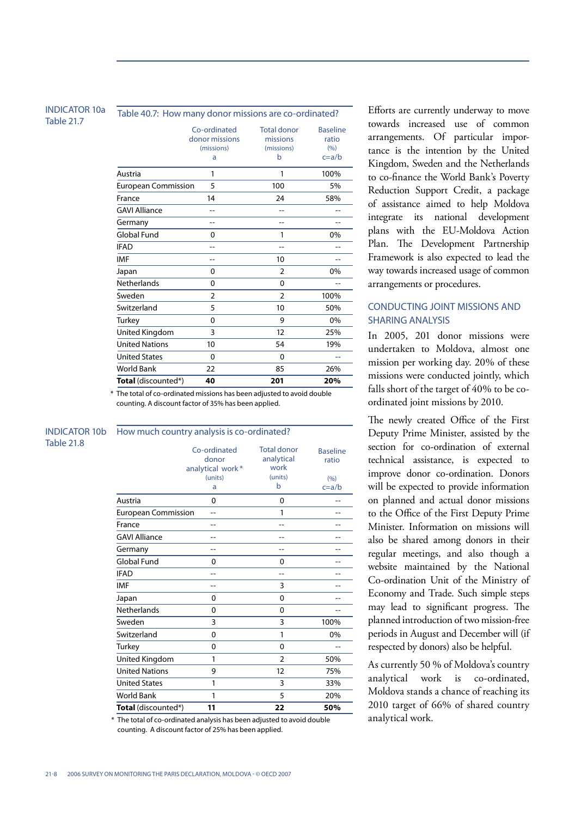#### INDICATOR 10a Table 21.7

| Table 40.7: How many donor missions are co-ordinated? |                                                   |                                                   |                                              |  |
|-------------------------------------------------------|---------------------------------------------------|---------------------------------------------------|----------------------------------------------|--|
|                                                       | Co-ordinated<br>donor missions<br>(missions)<br>a | <b>Total donor</b><br>missions<br>(missions)<br>b | <b>Baseline</b><br>ratio<br>(9/6)<br>$c=a/b$ |  |
| Austria                                               | 1                                                 | 1                                                 | 100%                                         |  |
| <b>European Commission</b>                            | 5                                                 | 100                                               | 5%                                           |  |
| France                                                | 14                                                | 24                                                | 58%                                          |  |
| <b>GAVI Alliance</b>                                  |                                                   | --                                                |                                              |  |
| Germany                                               | --                                                | --                                                | --                                           |  |
| <b>Global Fund</b>                                    | $\mathbf 0$                                       | 1                                                 | 0%                                           |  |
| <b>IFAD</b>                                           |                                                   | $-1$                                              |                                              |  |
| IMF                                                   | $-1$                                              | 10                                                | --                                           |  |
| Japan                                                 | $\mathbf 0$                                       | $\overline{2}$                                    | 0%                                           |  |
| Netherlands                                           | $\mathbf{0}$                                      | $\Omega$                                          | --                                           |  |
| Sweden                                                | $\overline{2}$                                    | $\overline{2}$                                    | 100%                                         |  |
| Switzerland                                           | 5                                                 | 10                                                | 50%                                          |  |
| Turkey                                                | $\mathbf{0}$                                      | 9                                                 | 0%                                           |  |
| United Kingdom                                        | 3                                                 | 12                                                | 25%                                          |  |
| <b>United Nations</b>                                 | 10                                                | 54                                                | 19%                                          |  |
| <b>United States</b>                                  | $\mathbf{0}$                                      | $\Omega$                                          |                                              |  |
| <b>World Bank</b>                                     | 22                                                | 85                                                | 26%                                          |  |
| <b>Total</b> (discounted*)                            | 40                                                | 201                                               | 20%                                          |  |

\* The total of co-ordinated missions has been adjusted to avoid double counting. A discount factor of 35% has been applied.

| <b>INDICATOR 10b</b> | How much country analysis is co-ordinated? |                                           |                                          |                          |  |
|----------------------|--------------------------------------------|-------------------------------------------|------------------------------------------|--------------------------|--|
| <b>Table 21.8</b>    |                                            | Co-ordinated<br>donor<br>analytical work* | <b>Total donor</b><br>analytical<br>work | <b>Baseline</b><br>ratio |  |
|                      |                                            | (units)                                   | (units)                                  | (9/6)                    |  |
|                      |                                            | a                                         | b                                        | $c=a/b$                  |  |
|                      | Austria                                    | 0                                         | $\mathbf 0$                              | --                       |  |
|                      | <b>European Commission</b>                 | $-$                                       | 1                                        | --                       |  |
|                      | France                                     | --                                        | $-$                                      |                          |  |
|                      | <b>GAVI Alliance</b>                       | --                                        | --                                       | --                       |  |
|                      | Germany                                    | --                                        | --                                       | --                       |  |
|                      | <b>Global Fund</b>                         | 0                                         | $\mathbf 0$                              | --                       |  |
|                      | <b>IFAD</b>                                |                                           | $-$                                      |                          |  |
|                      | <b>IMF</b>                                 | --                                        | 3                                        |                          |  |
|                      | Japan                                      | 0                                         | $\mathbf 0$                              |                          |  |
|                      | <b>Netherlands</b>                         | $\mathbf{0}$                              | $\Omega$                                 | $-$                      |  |
|                      | Sweden                                     | 3                                         | 3                                        | 100%                     |  |
|                      | Switzerland                                | $\mathbf 0$                               | 1                                        | 0%                       |  |
|                      | Turkey                                     | 0                                         | $\mathbf 0$                              |                          |  |
|                      | United Kingdom                             | 1                                         | $\overline{2}$                           | 50%                      |  |
|                      | <b>United Nations</b>                      | 9                                         | 12                                       | 75%                      |  |
|                      | <b>United States</b>                       | 1                                         | 3                                        | 33%                      |  |
|                      | <b>World Bank</b>                          | 1                                         | 5                                        | 20%                      |  |
|                      | <b>Total</b> (discounted*)                 | 11                                        | 22                                       | 50%                      |  |

\* The total of co-ordinated analysis has been adjusted to avoid double counting. A discount factor of 25% has been applied.

Efforts are currently underway to move towards increased use of common arrangements. Of particular importance is the intention by the United Kingdom, Sweden and the Netherlands to co-finance the World Bank's Poverty Reduction Support Credit, a package of assistance aimed to help Moldova integrate its national development plans with the EU-Moldova Action Plan. The Development Partnership Framework is also expected to lead the way towards increased usage of common arrangements or procedures.

# CONDUCTING JOINT MISSIONS AND SHARING ANALYSIS

In 2005, 201 donor missions were undertaken to Moldova, almost one mission per working day. 20% of these missions were conducted jointly, which falls short of the target of 40% to be coordinated joint missions by 2010.

The newly created Office of the First Deputy Prime Minister, assisted by the section for co-ordination of external technical assistance, is expected to improve donor co-ordination. Donors will be expected to provide information on planned and actual donor missions to the Office of the First Deputy Prime Minister. Information on missions will also be shared among donors in their regular meetings, and also though a website maintained by the National Co-ordination Unit of the Ministry of Economy and Trade. Such simple steps may lead to significant progress. The planned introduction of two mission-free periods in August and December will (if respected by donors) also be helpful.

As currently 50 % of Moldova's country analytical work is co-ordinated, Moldova stands a chance of reaching its 2010 target of 66% of shared country analytical work.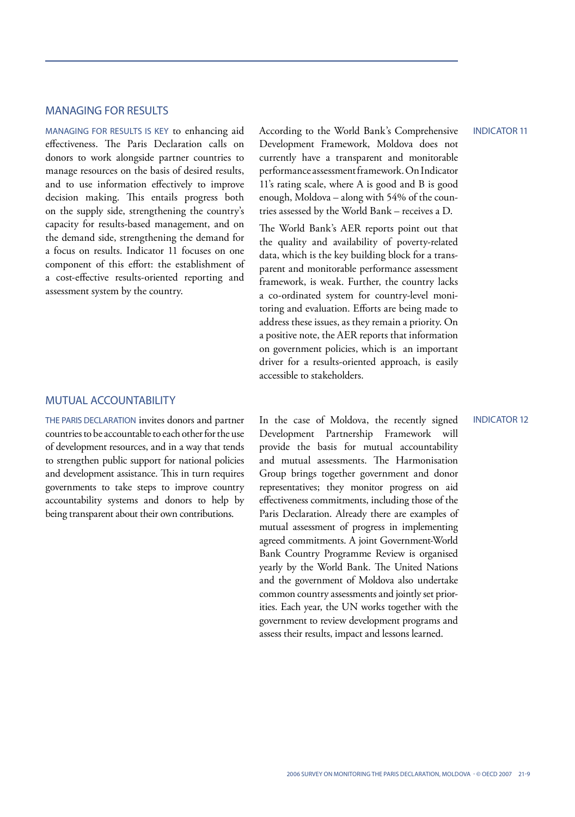# MANAGING FOR RESULTS

MANAGING FOR RESULTS IS KEY to enhancing aid effectiveness. The Paris Declaration calls on donors to work alongside partner countries to manage resources on the basis of desired results, and to use information effectively to improve decision making. This entails progress both on the supply side, strengthening the country's capacity for results-based management, and on the demand side, strengthening the demand for a focus on results. Indicator 11 focuses on one component of this effort: the establishment of a cost-effective results-oriented reporting and assessment system by the country.

# MUTUAL ACCOUNTABILITY

THE PARIS DECLARATION invites donors and partner countries to be accountable to each other for the use of development resources, and in a way that tends to strengthen public support for national policies and development assistance. This in turn requires governments to take steps to improve country accountability systems and donors to help by being transparent about their own contributions.

According to the World Bank's Comprehensive Development Framework, Moldova does not currently have a transparent and monitorable performance assessment framework. On Indicator 11's rating scale, where A is good and B is good enough, Moldova – along with 54% of the countries assessed by the World Bank – receives a D.

The World Bank's AER reports point out that the quality and availability of poverty-related data, which is the key building block for a transparent and monitorable performance assessment framework, is weak. Further, the country lacks a co-ordinated system for country-level monitoring and evaluation. Efforts are being made to address these issues, as they remain a priority. On a positive note, the AER reports that information on government policies, which is an important driver for a results-oriented approach, is easily accessible to stakeholders.

INDICATOR 12

In the case of Moldova, the recently signed Development Partnership Framework will provide the basis for mutual accountability and mutual assessments. The Harmonisation Group brings together government and donor representatives; they monitor progress on aid effectiveness commitments, including those of the Paris Declaration. Already there are examples of mutual assessment of progress in implementing agreed commitments. A joint Government-World Bank Country Programme Review is organised yearly by the World Bank. The United Nations and the government of Moldova also undertake common country assessments and jointly set priorities. Each year, the UN works together with the government to review development programs and assess their results, impact and lessons learned.

INDICATOR 11